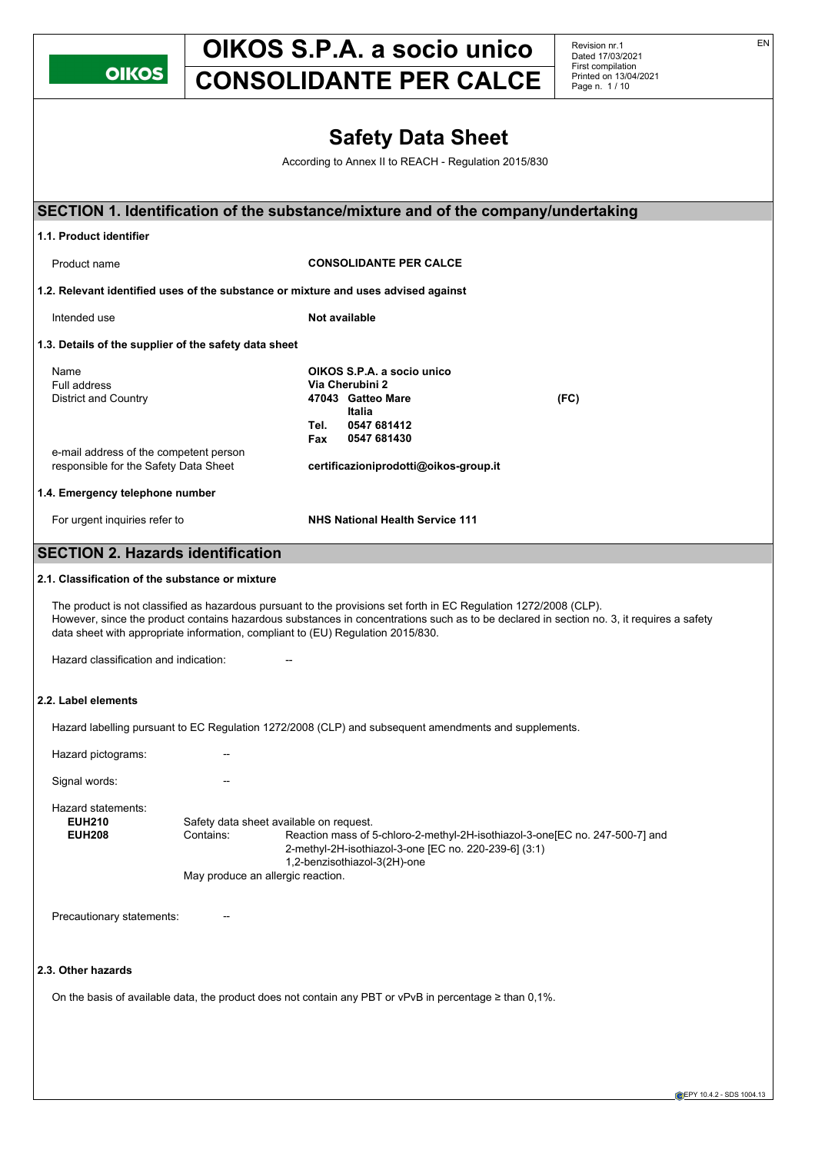| K<br>Т |  |
|--------|--|
|        |  |

Revision nr.1 Dated 17/03/2021 First compilation Printed on 13/04/2021 Page n. 1 / 10

|                                                                                                                                               |                                                                                           |             | <b>Safety Data Sheet</b><br>According to Annex II to REACH - Regulation 2015/830                                                                    |                                                                                                                                          |  |
|-----------------------------------------------------------------------------------------------------------------------------------------------|-------------------------------------------------------------------------------------------|-------------|-----------------------------------------------------------------------------------------------------------------------------------------------------|------------------------------------------------------------------------------------------------------------------------------------------|--|
|                                                                                                                                               |                                                                                           |             |                                                                                                                                                     | SECTION 1. Identification of the substance/mixture and of the company/undertaking                                                        |  |
| 1.1. Product identifier                                                                                                                       |                                                                                           |             |                                                                                                                                                     |                                                                                                                                          |  |
| Product name                                                                                                                                  |                                                                                           |             | <b>CONSOLIDANTE PER CALCE</b>                                                                                                                       |                                                                                                                                          |  |
| 1.2. Relevant identified uses of the substance or mixture and uses advised against                                                            |                                                                                           |             |                                                                                                                                                     |                                                                                                                                          |  |
| Intended use                                                                                                                                  |                                                                                           |             | Not available                                                                                                                                       |                                                                                                                                          |  |
| 1.3. Details of the supplier of the safety data sheet                                                                                         |                                                                                           |             |                                                                                                                                                     |                                                                                                                                          |  |
| Name<br><b>Full address</b><br><b>District and Country</b><br>e-mail address of the competent person<br>responsible for the Safety Data Sheet |                                                                                           | Tel.<br>Fax | OIKOS S.P.A. a socio unico<br>Via Cherubini 2<br>47043 Gatteo Mare<br>Italia<br>0547 681412<br>0547 681430<br>certificazioniprodotti@oikos-group.it | (FC)                                                                                                                                     |  |
| 1.4. Emergency telephone number                                                                                                               |                                                                                           |             |                                                                                                                                                     |                                                                                                                                          |  |
| For urgent inquiries refer to                                                                                                                 |                                                                                           |             | <b>NHS National Health Service 111</b>                                                                                                              |                                                                                                                                          |  |
|                                                                                                                                               |                                                                                           |             |                                                                                                                                                     |                                                                                                                                          |  |
| <b>SECTION 2. Hazards identification</b>                                                                                                      |                                                                                           |             |                                                                                                                                                     |                                                                                                                                          |  |
| 2.1. Classification of the substance or mixture                                                                                               |                                                                                           |             |                                                                                                                                                     |                                                                                                                                          |  |
| data sheet with appropriate information, compliant to (EU) Regulation 2015/830.<br>Hazard classification and indication:                      |                                                                                           |             | The product is not classified as hazardous pursuant to the provisions set forth in EC Regulation 1272/2008 (CLP).                                   | However, since the product contains hazardous substances in concentrations such as to be declared in section no. 3, it requires a safety |  |
|                                                                                                                                               |                                                                                           |             |                                                                                                                                                     |                                                                                                                                          |  |
| 2.2. Label elements                                                                                                                           |                                                                                           |             |                                                                                                                                                     |                                                                                                                                          |  |
|                                                                                                                                               |                                                                                           |             | Hazard labelling pursuant to EC Regulation 1272/2008 (CLP) and subsequent amendments and supplements.                                               |                                                                                                                                          |  |
| Hazard pictograms:                                                                                                                            |                                                                                           |             |                                                                                                                                                     |                                                                                                                                          |  |
| Signal words:                                                                                                                                 |                                                                                           |             |                                                                                                                                                     |                                                                                                                                          |  |
| Hazard statements:<br><b>EUH210</b><br><b>EUH208</b>                                                                                          | Safety data sheet available on request.<br>Contains:<br>May produce an allergic reaction. |             | 2-methyl-2H-isothiazol-3-one [EC no. 220-239-6] (3:1)<br>1,2-benzisothiazol-3(2H)-one                                                               | Reaction mass of 5-chloro-2-methyl-2H-isothiazol-3-one[EC no. 247-500-7] and                                                             |  |
| Precautionary statements:                                                                                                                     |                                                                                           |             |                                                                                                                                                     |                                                                                                                                          |  |
| 2.3. Other hazards                                                                                                                            |                                                                                           |             |                                                                                                                                                     |                                                                                                                                          |  |
|                                                                                                                                               |                                                                                           |             | On the basis of available data, the product does not contain any PBT or vPvB in percentage $\geq$ than 0,1%.                                        |                                                                                                                                          |  |

**EPY 10.4.2 - SDS 1004.13**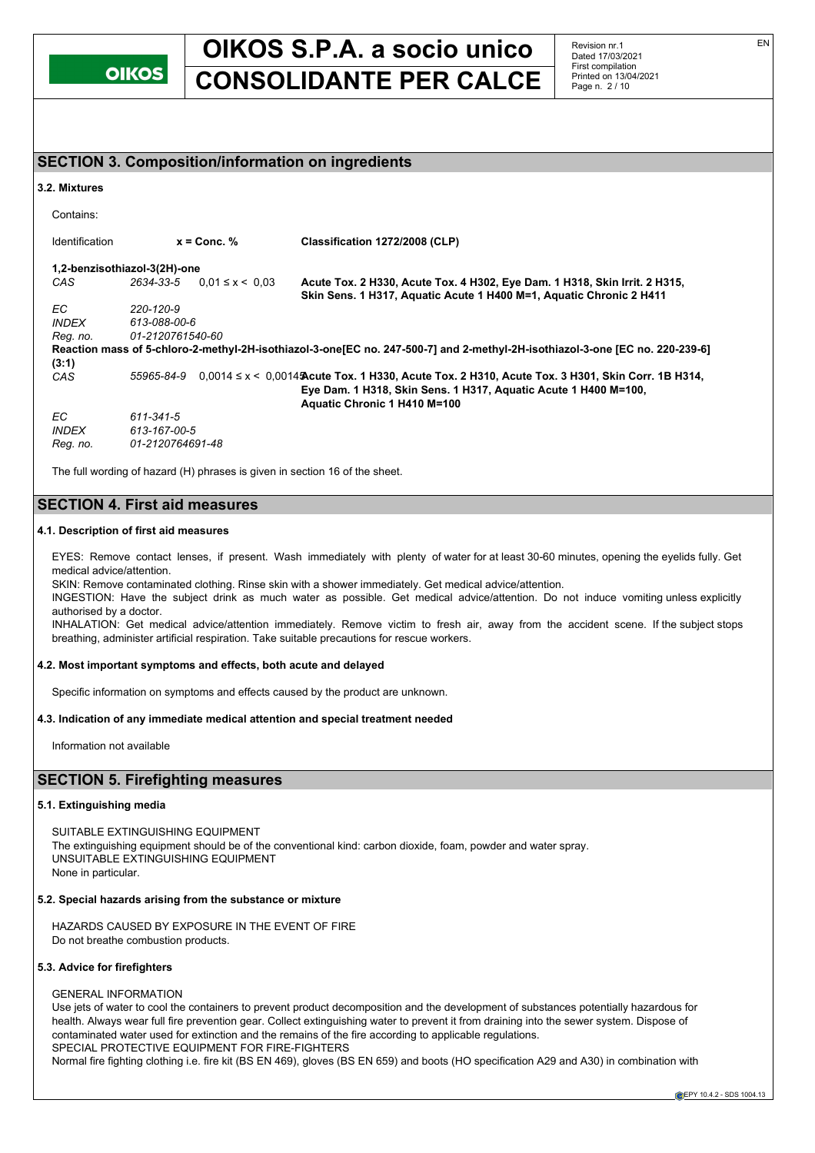

Revision nr.1 Dated 17/03/2021 First compilation Printed on 13/04/2021 Page n. 2 / 10

## **SECTION 3. Composition/information on ingredients**

#### **3.2. Mixtures**

Contains:

| <b>Identification</b> | $x =$ Conc. $%$                    | Classification 1272/2008 (CLP)                                                                                                                                                                            |
|-----------------------|------------------------------------|-----------------------------------------------------------------------------------------------------------------------------------------------------------------------------------------------------------|
|                       | 1,2-benzisothiazol-3(2H)-one       |                                                                                                                                                                                                           |
| CAS                   | 2634-33-5<br>$0.01 \le x \le 0.03$ | Acute Tox. 2 H330, Acute Tox. 4 H302, Eye Dam. 1 H318, Skin Irrit. 2 H315,<br>Skin Sens. 1 H317, Aquatic Acute 1 H400 M=1, Aquatic Chronic 2 H411                                                         |
| EC.                   | 220-120-9                          |                                                                                                                                                                                                           |
| <i>INDEX</i>          | 613-088-00-6                       |                                                                                                                                                                                                           |
| Reg. no.              | 01-2120761540-60                   |                                                                                                                                                                                                           |
|                       |                                    | Reaction mass of 5-chloro-2-methyl-2H-isothiazol-3-one [EC no. 247-500-7] and 2-methyl-2H-isothiazol-3-one [EC no. 220-239-6]                                                                             |
| (3:1)                 |                                    |                                                                                                                                                                                                           |
| CAS                   | 55965-84-9                         | $0.0014 \le x \le 0.0014$ Acute Tox. 1 H330, Acute Tox. 2 H310, Acute Tox. 3 H301, Skin Corr. 1B H314,<br>Eye Dam. 1 H318, Skin Sens. 1 H317, Aquatic Acute 1 H400 M=100,<br>Aquatic Chronic 1 H410 M=100 |
| EC.                   | 611-341-5                          |                                                                                                                                                                                                           |
| <b>INDEX</b>          | 613-167-00-5                       |                                                                                                                                                                                                           |
| Reg. no.              | 01-2120764691-48                   |                                                                                                                                                                                                           |

The full wording of hazard (H) phrases is given in section 16 of the sheet.

## **SECTION 4. First aid measures**

## **4.1. Description of first aid measures**

EYES: Remove contact lenses, if present. Wash immediately with plenty of water for at least 30-60 minutes, opening the eyelids fully. Get medical advice/attention.

SKIN: Remove contaminated clothing. Rinse skin with a shower immediately. Get medical advice/attention.

INGESTION: Have the subject drink as much water as possible. Get medical advice/attention. Do not induce vomiting unless explicitly authorised by a doctor.

INHALATION: Get medical advice/attention immediately. Remove victim to fresh air, away from the accident scene. If the subject stops breathing, administer artificial respiration. Take suitable precautions for rescue workers.

### **4.2. Most important symptoms and effects, both acute and delayed**

Specific information on symptoms and effects caused by the product are unknown.

## **4.3. Indication of any immediate medical attention and special treatment needed**

Information not available

## **SECTION 5. Firefighting measures**

## **5.1. Extinguishing media**

SUITABLE EXTINGUISHING EQUIPMENT The extinguishing equipment should be of the conventional kind: carbon dioxide, foam, powder and water spray. UNSUITABLE EXTINGUISHING EQUIPMENT None in particular.

## **5.2. Special hazards arising from the substance or mixture**

HAZARDS CAUSED BY EXPOSURE IN THE EVENT OF FIRE Do not breathe combustion products.

#### **5.3. Advice for firefighters**

#### GENERAL INFORMATION

Use jets of water to cool the containers to prevent product decomposition and the development of substances potentially hazardous for health. Always wear full fire prevention gear. Collect extinguishing water to prevent it from draining into the sewer system. Dispose of contaminated water used for extinction and the remains of the fire according to applicable regulations. SPECIAL PROTECTIVE EQUIPMENT FOR FIRE-FIGHTERS

Normal fire fighting clothing i.e. fire kit (BS EN 469), gloves (BS EN 659) and boots (HO specification A29 and A30) in combination with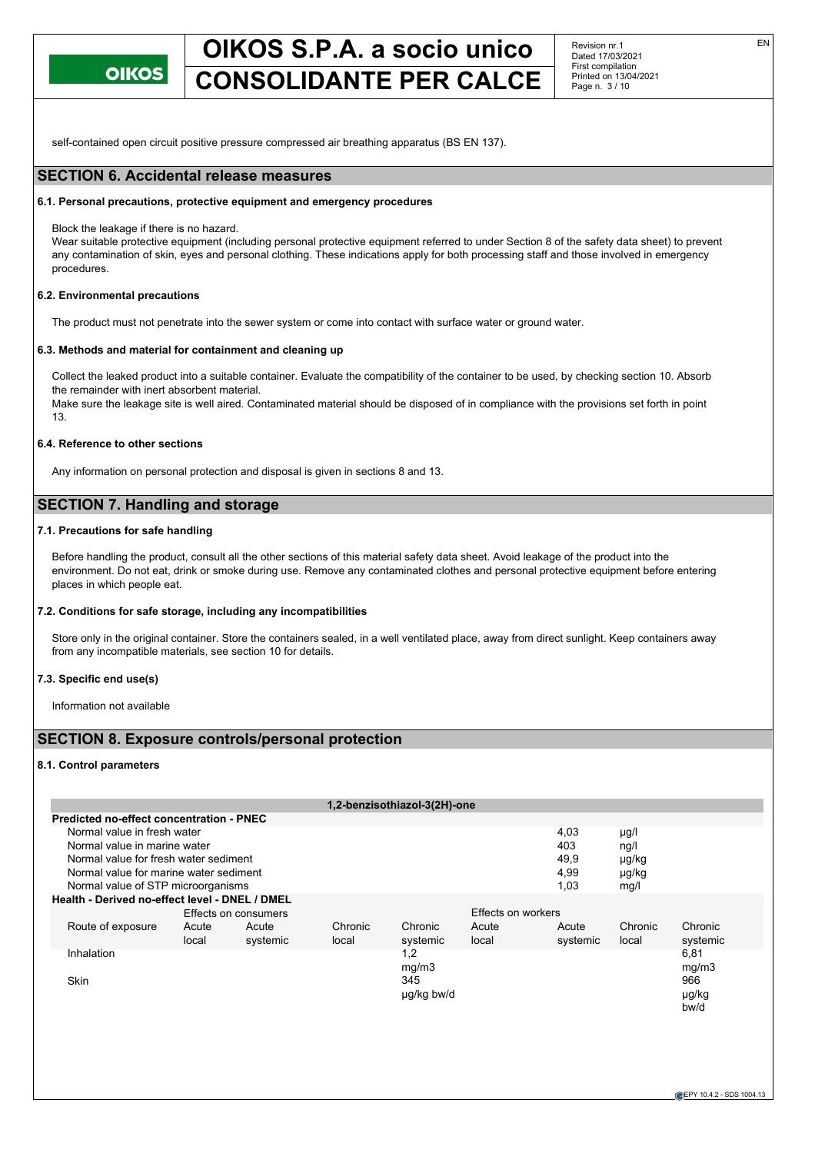

Revision nr.1 Dated 17/03/2021 First compilation Printed on 13/04/2021 Page n. 3 / 10

self-contained open circuit positive pressure compressed air breathing apparatus (BS EN 137).

## **SECTION 6. Accidental release measures**

#### **6.1. Personal precautions, protective equipment and emergency procedures**

Block the leakage if there is no hazard.

Wear suitable protective equipment (including personal protective equipment referred to under Section 8 of the safety data sheet) to prevent any contamination of skin, eyes and personal clothing. These indications apply for both processing staff and those involved in emergency procedures.

## **6.2. Environmental precautions**

The product must not penetrate into the sewer system or come into contact with surface water or ground water.

#### **6.3. Methods and material for containment and cleaning up**

Collect the leaked product into a suitable container. Evaluate the compatibility of the container to be used, by checking section 10. Absorb the remainder with inert absorbent material.

Make sure the leakage site is well aired. Contaminated material should be disposed of in compliance with the provisions set forth in point 13.

## **6.4. Reference to other sections**

Any information on personal protection and disposal is given in sections 8 and 13.

## **SECTION 7. Handling and storage**

## **7.1. Precautions for safe handling**

Before handling the product, consult all the other sections of this material safety data sheet. Avoid leakage of the product into the environment. Do not eat, drink or smoke during use. Remove any contaminated clothes and personal protective equipment before entering places in which people eat.

#### **7.2. Conditions for safe storage, including any incompatibilities**

Store only in the original container. Store the containers sealed, in a well ventilated place, away from direct sunlight. Keep containers away from any incompatible materials, see section 10 for details.

### **7.3. Specific end use(s)**

Information not available

## **SECTION 8. Exposure controls/personal protection**

#### **8.1. Control parameters**

| Normal value in fresh water  |          |                                                                                                                                                                                                                                                    |            |       | 4,03                         | $\mu$ g/l          |          |
|------------------------------|----------|----------------------------------------------------------------------------------------------------------------------------------------------------------------------------------------------------------------------------------------------------|------------|-------|------------------------------|--------------------|----------|
| Normal value in marine water |          |                                                                                                                                                                                                                                                    |            |       | 403                          | ng/l               |          |
|                              |          |                                                                                                                                                                                                                                                    |            |       | 49,9                         | µg/kg              |          |
|                              |          |                                                                                                                                                                                                                                                    |            |       | 4.99                         | µg/kg              |          |
|                              |          |                                                                                                                                                                                                                                                    |            |       | 1,03                         | mq/l               |          |
|                              |          |                                                                                                                                                                                                                                                    |            |       |                              |                    |          |
|                              |          |                                                                                                                                                                                                                                                    |            |       |                              |                    |          |
| Acute                        | Acute    | Chronic                                                                                                                                                                                                                                            | Chronic    | Acute | Acute                        | Chronic            | Chronic  |
| local                        | systemic | local                                                                                                                                                                                                                                              | systemic   | local | systemic                     | local              | systemic |
|                              |          |                                                                                                                                                                                                                                                    | 1,2        |       |                              |                    | 6,81     |
|                              |          |                                                                                                                                                                                                                                                    | mg/m3      |       |                              |                    | mg/m3    |
|                              |          |                                                                                                                                                                                                                                                    | 345        |       |                              |                    | 966      |
|                              |          |                                                                                                                                                                                                                                                    | ug/kg bw/d |       |                              |                    | µg/kg    |
|                              |          |                                                                                                                                                                                                                                                    |            |       |                              |                    | bw/d     |
|                              |          | <b>Predicted no-effect concentration - PNEC</b><br>Normal value for fresh water sediment<br>Normal value for marine water sediment<br>Normal value of STP microorganisms<br>Health - Derived no-effect level - DNEL / DMEL<br>Effects on consumers |            |       | 1,2-benzisothiazol-3(2H)-one | Effects on workers |          |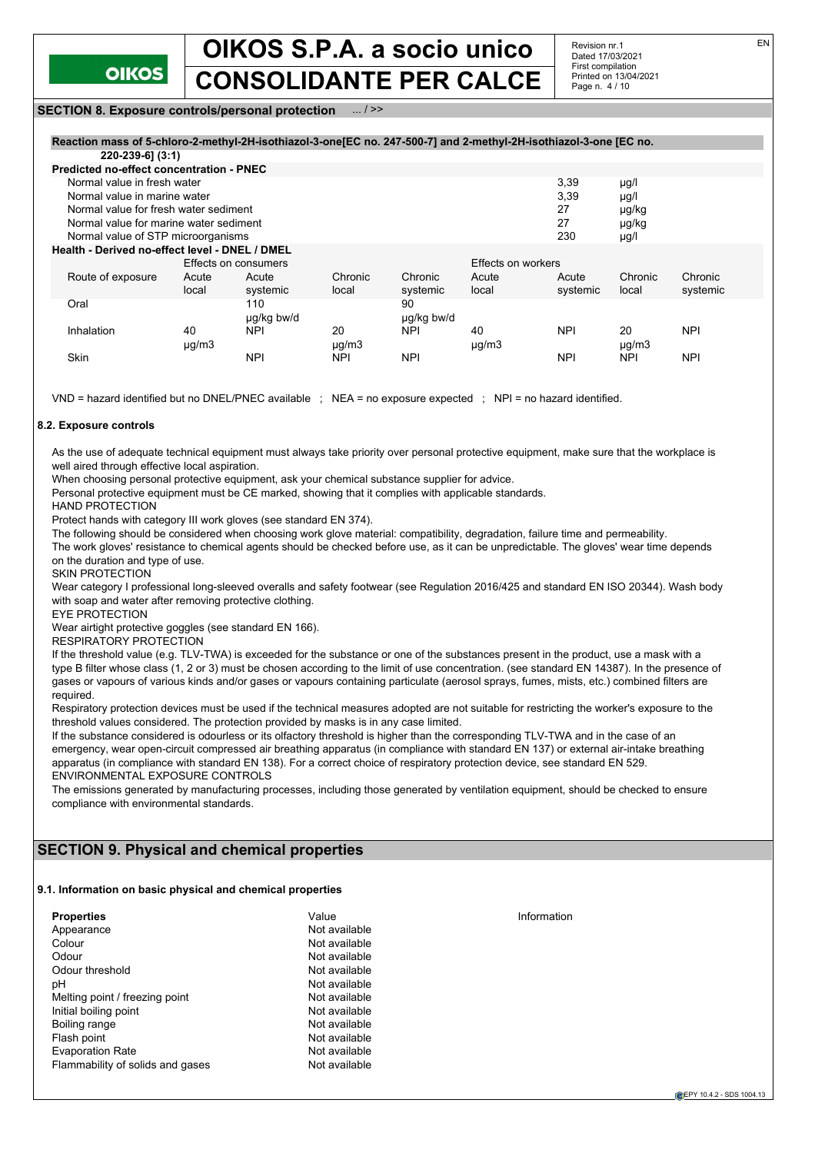

Revision nr.1 Dated 17/03/2021 First compilation Printed on 13/04/2021 Page n. 4 / 10

## **SECTION 8. Exposure controls/personal protection** ... / >>

## **Reaction mass of 5-chloro-2-methyl-2H-isothiazol-3-one[EC no. 247-500-7] and 2-methyl-2H-isothiazol-3-one [EC no.**

| 220-239-6] (3:1)                               |               |                      |            |            |                    |            |               |            |
|------------------------------------------------|---------------|----------------------|------------|------------|--------------------|------------|---------------|------------|
| Predicted no-effect concentration - PNEC       |               |                      |            |            |                    |            |               |            |
| Normal value in fresh water                    |               |                      |            |            |                    | 3,39       | $\mu$ g/l     |            |
| Normal value in marine water                   |               |                      |            |            |                    | 3,39       | $\mu$ g/l     |            |
| Normal value for fresh water sediment          |               |                      |            |            |                    | 27         | µg/kg         |            |
| Normal value for marine water sediment         |               |                      |            |            |                    | 27         | µg/kg         |            |
| Normal value of STP microorganisms             |               |                      |            |            |                    | 230        | $\mu$ g/l     |            |
| Health - Derived no-effect level - DNEL / DMEL |               |                      |            |            |                    |            |               |            |
|                                                |               | Effects on consumers |            |            | Effects on workers |            |               |            |
| Route of exposure                              | Acute         | Acute                | Chronic    | Chronic    | Acute              | Acute      | Chronic       | Chronic    |
|                                                | local         | systemic             | local      | systemic   | local              | systemic   | local         | systemic   |
| Oral                                           |               | 110                  |            | 90         |                    |            |               |            |
|                                                |               | µg/kg bw/d           |            | ug/kg bw/d |                    |            |               |            |
| Inhalation                                     | 40            | <b>NPI</b>           | 20         | <b>NPI</b> | 40                 | <b>NPI</b> | 20            | <b>NPI</b> |
|                                                | $\mu$ g/m $3$ |                      | $\mu$ g/m3 |            | $\mu$ g/m $3$      |            | $\mu$ g/m $3$ |            |
| Skin                                           |               | <b>NPI</b>           | <b>NPI</b> | <b>NPI</b> |                    | <b>NPI</b> | <b>NPI</b>    | <b>NPI</b> |

VND = hazard identified but no DNEL/PNEC available ; NEA = no exposure expected ; NPI = no hazard identified.

#### **8.2. Exposure controls**

As the use of adequate technical equipment must always take priority over personal protective equipment, make sure that the workplace is well aired through effective local aspiration.

When choosing personal protective equipment, ask your chemical substance supplier for advice.

Personal protective equipment must be CE marked, showing that it complies with applicable standards.

HAND PROTECTION

Protect hands with category III work gloves (see standard EN 374).

The following should be considered when choosing work glove material: compatibility, degradation, failure time and permeability.

The work gloves' resistance to chemical agents should be checked before use, as it can be unpredictable. The gloves' wear time depends on the duration and type of use.

SKIN PROTECTION

Wear category I professional long-sleeved overalls and safety footwear (see Regulation 2016/425 and standard EN ISO 20344). Wash body with soap and water after removing protective clothing.

EYE PROTECTION

Wear airtight protective goggles (see standard EN 166).

RESPIRATORY PROTECTION

If the threshold value (e.g. TLV-TWA) is exceeded for the substance or one of the substances present in the product, use a mask with a type B filter whose class (1, 2 or 3) must be chosen according to the limit of use concentration. (see standard EN 14387). In the presence of gases or vapours of various kinds and/or gases or vapours containing particulate (aerosol sprays, fumes, mists, etc.) combined filters are required.

Respiratory protection devices must be used if the technical measures adopted are not suitable for restricting the worker's exposure to the threshold values considered. The protection provided by masks is in any case limited.

If the substance considered is odourless or its olfactory threshold is higher than the corresponding TLV-TWA and in the case of an emergency, wear open-circuit compressed air breathing apparatus (in compliance with standard EN 137) or external air-intake breathing apparatus (in compliance with standard EN 138). For a correct choice of respiratory protection device, see standard EN 529. ENVIRONMENTAL EXPOSURE CONTROLS

The emissions generated by manufacturing processes, including those generated by ventilation equipment, should be checked to ensure compliance with environmental standards.

## **SECTION 9. Physical and chemical properties**

#### **9.1. Information on basic physical and chemical properties**

| <b>Properties</b>                | Value         | Information |
|----------------------------------|---------------|-------------|
| Appearance                       | Not available |             |
| Colour                           | Not available |             |
| Odour                            | Not available |             |
| Odour threshold                  | Not available |             |
| рH                               | Not available |             |
| Melting point / freezing point   | Not available |             |
| Initial boiling point            | Not available |             |
| Boiling range                    | Not available |             |
| Flash point                      | Not available |             |
| <b>Evaporation Rate</b>          | Not available |             |
| Flammability of solids and gases | Not available |             |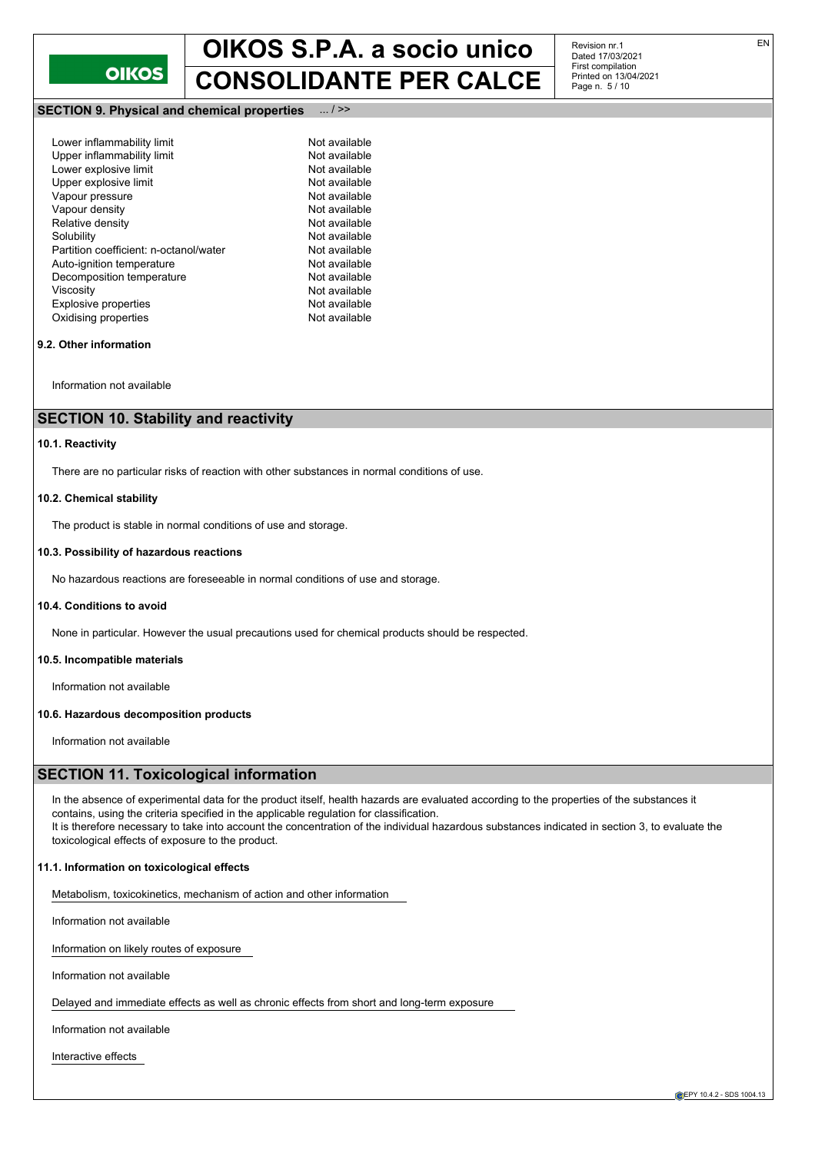

**SECTION 9. Physical and chemical properties** ... / >>

| Lower inflammability limit             | Not available |
|----------------------------------------|---------------|
| Upper inflammability limit             | Not available |
| Lower explosive limit                  | Not available |
| Upper explosive limit                  | Not available |
| Vapour pressure                        | Not available |
| Vapour density                         | Not available |
| Relative density                       | Not available |
| Solubility                             | Not available |
| Partition coefficient: n-octanol/water | Not available |
| Auto-ignition temperature              | Not available |
| Decomposition temperature              | Not available |
| Viscosity                              | Not available |
| <b>Explosive properties</b>            | Not available |
| Oxidising properties                   | Not available |
|                                        |               |

### **9.2. Other information**

Information not available

## **SECTION 10. Stability and reactivity**

## **10.1. Reactivity**

There are no particular risks of reaction with other substances in normal conditions of use.

#### **10.2. Chemical stability**

The product is stable in normal conditions of use and storage.

#### **10.3. Possibility of hazardous reactions**

No hazardous reactions are foreseeable in normal conditions of use and storage.

#### **10.4. Conditions to avoid**

None in particular. However the usual precautions used for chemical products should be respected.

#### **10.5. Incompatible materials**

Information not available

#### **10.6. Hazardous decomposition products**

Information not available

## **SECTION 11. Toxicological information**

In the absence of experimental data for the product itself, health hazards are evaluated according to the properties of the substances it contains, using the criteria specified in the applicable regulation for classification. It is therefore necessary to take into account the concentration of the individual hazardous substances indicated in section 3, to evaluate the toxicological effects of exposure to the product.

#### **11.1. Information on toxicological effects**

Metabolism, toxicokinetics, mechanism of action and other information

Information not available

Information on likely routes of exposure

Information not available

Delayed and immediate effects as well as chronic effects from short and long-term exposure

Information not available

Interactive effects

Revision nr.1 Dated 17/03/2021 First compilation Printed on 13/04/2021 Page n. 5 / 10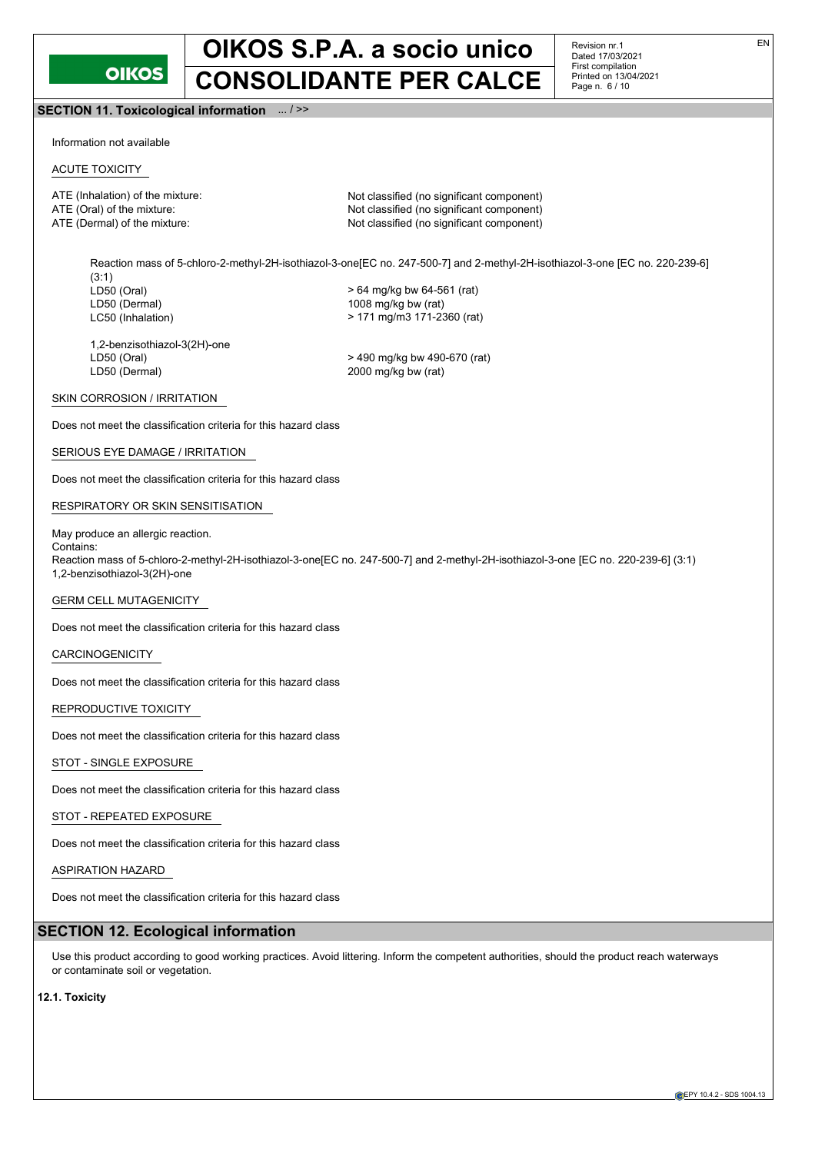

Revision nr.1 Dated 17/03/2021 First compilation Printed on 13/04/2021 Page n. 6 / 10

**SECTION 11. Toxicological information** ... / >>

Information not available

## ACUTE TOXICITY

ATE (Inhalation) of the mixture: Not classified (no significant component) ATE (Oral) of the mixture:  $\blacksquare$  Not classified (no significant component) ATE (Dermal) of the mixture:  $\blacksquare$  Not classified (no significant component)

Reaction mass of 5-chloro-2-methyl-2H-isothiazol-3-one[EC no. 247-500-7] and 2-methyl-2H-isothiazol-3-one [EC no. 220-239-6] (3:1)<br>LD50 (Oral) LD50 (Oral) > 64 mg/kg bw 64-561 (rat) 1008 mg/kg bw (rat) LC50 (Inhalation) > 171 mg/m3 171-2360 (rat)

1,2-benzisothiazol-3(2H)-one LD50 (Dermal) 2000 mg/kg bw (rat)

LD50 (Oral) > 490 mg/kg bw 490-670 (rat)

## SKIN CORROSION / IRRITATION

Does not meet the classification criteria for this hazard class

## SERIOUS EYE DAMAGE / IRRITATION

Does not meet the classification criteria for this hazard class

## RESPIRATORY OR SKIN SENSITISATION

May produce an allergic reaction. Contains:

Reaction mass of 5-chloro-2-methyl-2H-isothiazol-3-one[EC no. 247-500-7] and 2-methyl-2H-isothiazol-3-one [EC no. 220-239-6] (3:1) 1,2-benzisothiazol-3(2H)-one

### GERM CELL MUTAGENICITY

Does not meet the classification criteria for this hazard class

CARCINOGENICITY

Does not meet the classification criteria for this hazard class

## REPRODUCTIVE TOXICITY

Does not meet the classification criteria for this hazard class

### STOT - SINGLE EXPOSURE

Does not meet the classification criteria for this hazard class

## STOT - REPEATED EXPOSURE

Does not meet the classification criteria for this hazard class

### ASPIRATION HAZARD

Does not meet the classification criteria for this hazard class

## **SECTION 12. Ecological information**

Use this product according to good working practices. Avoid littering. Inform the competent authorities, should the product reach waterways or contaminate soil or vegetation.

## **12.1. Toxicity**

EN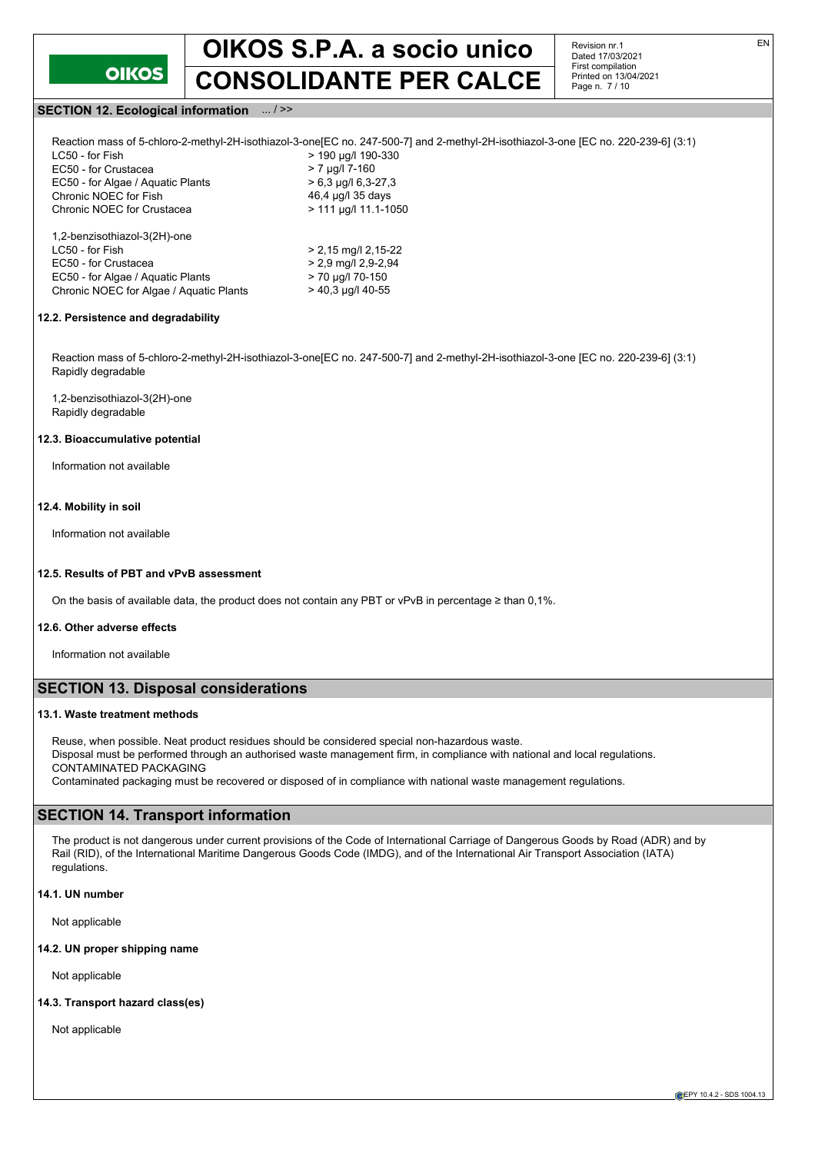

Revision nr.1 Dated 17/03/2021 First compilation Printed on 13/04/2021 Page n. 7 / 10

## **SECTION 12. Ecological information** ... / >>

| LC50 - for Fish                         | > 190 µg/l 190-330          |
|-----------------------------------------|-----------------------------|
| EC50 - for Crustacea                    | $> 7 \mu q/l 7-160$         |
| EC50 - for Algae / Aquatic Plants       | $> 6.3$ µg/l 6.3-27.3       |
| Chronic NOEC for Fish                   | 46,4 µg/l 35 days           |
| Chronic NOEC for Crustacea              | $> 111 \mu q/l 11.1 - 1050$ |
| 1,2-benzisothiazol-3(2H)-one            |                             |
| LC50 - for Fish                         | $> 2,15$ mg/l 2,15-22       |
| EC50 - for Crustacea                    | $> 2.9$ mg/l 2.9-2.94       |
| EC50 - for Algae / Aguatic Plants       | > 70 µg/l 70-150            |
| Chronic NOEC for Algae / Aguatic Plants | $>$ 40.3 µg/l 40-55         |

## **12.2. Persistence and degradability**

Reaction mass of 5-chloro-2-methyl-2H-isothiazol-3-one[EC no. 247-500-7] and 2-methyl-2H-isothiazol-3-one [EC no. 220-239-6] (3:1) Rapidly degradable

1,2-benzisothiazol-3(2H)-one Rapidly degradable

#### **12.3. Bioaccumulative potential**

Information not available

### **12.4. Mobility in soil**

Information not available

### **12.5. Results of PBT and vPvB assessment**

On the basis of available data, the product does not contain any PBT or vPvB in percentage ≥ than 0,1%.

## **12.6. Other adverse effects**

Information not available

## **SECTION 13. Disposal considerations**

## **13.1. Waste treatment methods**

Reuse, when possible. Neat product residues should be considered special non-hazardous waste. Disposal must be performed through an authorised waste management firm, in compliance with national and local regulations. CONTAMINATED PACKAGING

Contaminated packaging must be recovered or disposed of in compliance with national waste management regulations.

## **SECTION 14. Transport information**

The product is not dangerous under current provisions of the Code of International Carriage of Dangerous Goods by Road (ADR) and by Rail (RID), of the International Maritime Dangerous Goods Code (IMDG), and of the International Air Transport Association (IATA) regulations.

#### **14.1. UN number**

Not applicable

## **14.2. UN proper shipping name**

Not applicable

### **14.3. Transport hazard class(es)**

Not applicable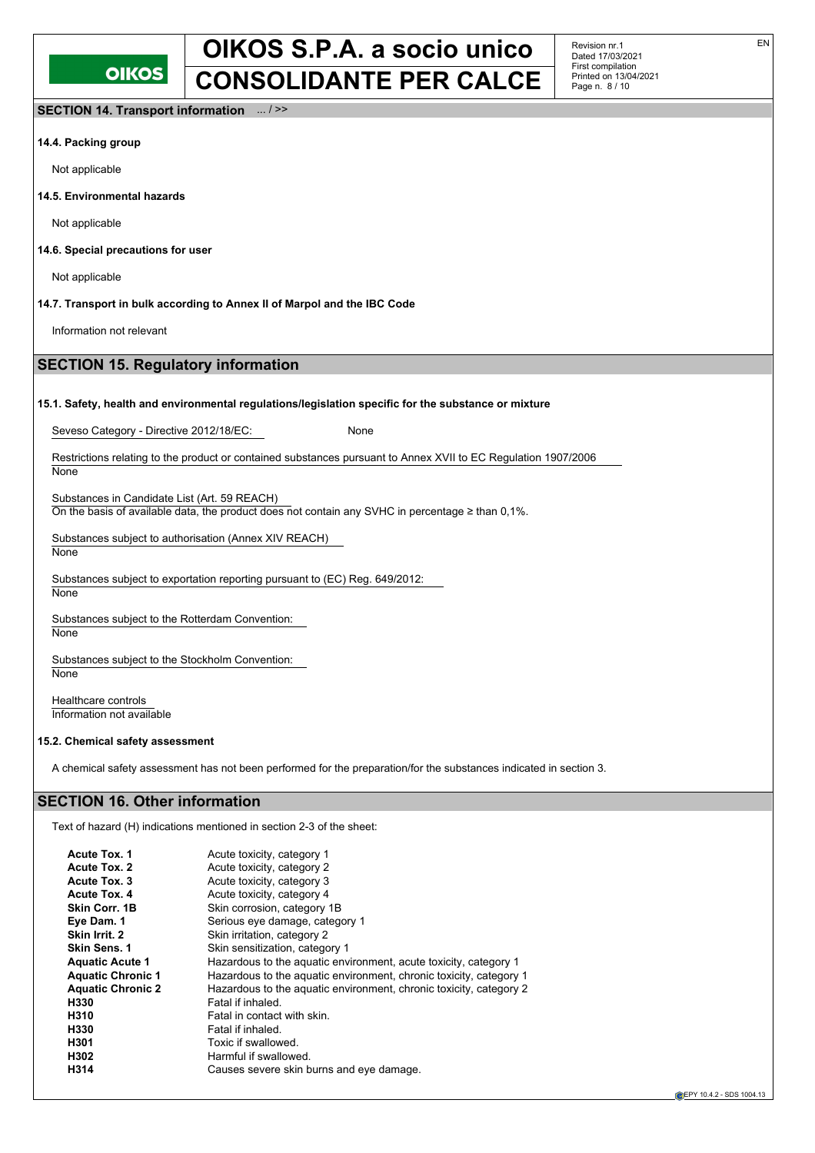Revision nr.1 Dated 17/03/2021 First compilation Printed on 13/04/2021 Page n. 8 / 10

**SECTION 14. Transport information** ... / >>

## **14.4. Packing group**

Not applicable

**14.5. Environmental hazards**

Not applicable

**14.6. Special precautions for user**

Not applicable

**None** 

## **14.7. Transport in bulk according to Annex II of Marpol and the IBC Code**

Information not relevant

## **SECTION 15. Regulatory information**

## **15.1. Safety, health and environmental regulations/legislation specific for the substance or mixture**

Seveso Category - Directive 2012/18/EC: None

Restrictions relating to the product or contained substances pursuant to Annex XVII to EC Regulation 1907/2006

Substances in Candidate List (Art. 59 REACH) On the basis of available data, the product does not contain any SVHC in percentage ≥ than 0,1%.

Substances subject to authorisation (Annex XIV REACH) **None** 

Substances subject to exportation reporting pursuant to (EC) Reg. 649/2012: **None** 

Substances subject to the Rotterdam Convention: **None** 

Substances subject to the Stockholm Convention: **None** 

Healthcare controls Information not available

## **15.2. Chemical safety assessment**

A chemical safety assessment has not been performed for the preparation/for the substances indicated in section 3.

## **SECTION 16. Other information**

Text of hazard (H) indications mentioned in section 2-3 of the sheet:

| <b>Acute Tox. 1</b>      | Acute toxicity, category 1                                         |
|--------------------------|--------------------------------------------------------------------|
| Acute Tox. 2             | Acute toxicity, category 2                                         |
| Acute Tox. 3             | Acute toxicity, category 3                                         |
| <b>Acute Tox. 4</b>      | Acute toxicity, category 4                                         |
| Skin Corr. 1B            | Skin corrosion, category 1B                                        |
| Eye Dam. 1               | Serious eye damage, category 1                                     |
| Skin Irrit. 2            | Skin irritation, category 2                                        |
| <b>Skin Sens. 1</b>      | Skin sensitization, category 1                                     |
| <b>Aquatic Acute 1</b>   | Hazardous to the aquatic environment, acute toxicity, category 1   |
| <b>Aquatic Chronic 1</b> | Hazardous to the aquatic environment, chronic toxicity, category 1 |
| <b>Aquatic Chronic 2</b> | Hazardous to the aquatic environment, chronic toxicity, category 2 |
| H330                     | Fatal if inhaled.                                                  |
| H310                     | Fatal in contact with skin.                                        |
| H330                     | Fatal if inhaled.                                                  |
| H301                     | Toxic if swallowed.                                                |
| H302                     | Harmful if swallowed.                                              |
| H314                     | Causes severe skin burns and eye damage.                           |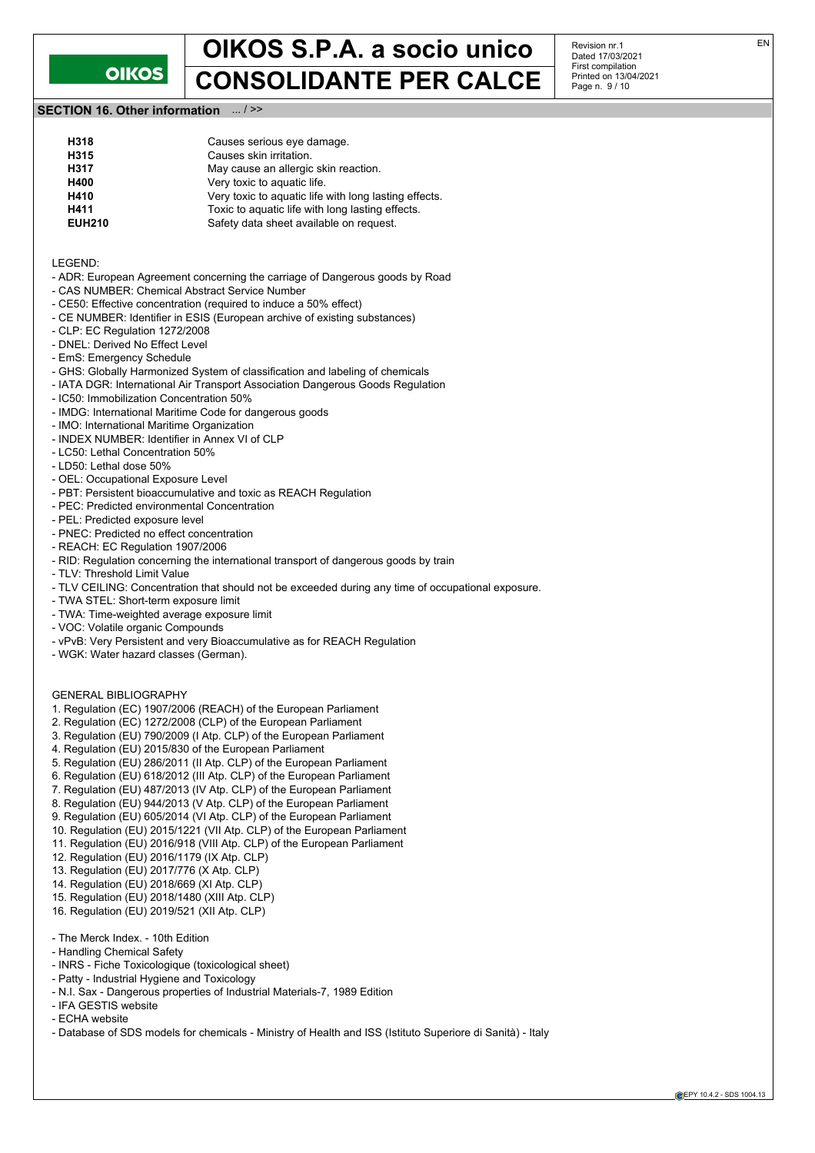

Revision nr.1 Dated 17/03/2021 First compilation Printed on 13/04/2021 Page n. 9 / 10

## **SECTION 16. Other information** ... / >>

| Causes serious eye damage.                            |
|-------------------------------------------------------|
| Causes skin irritation.                               |
| May cause an allergic skin reaction.                  |
| Very toxic to aquatic life.                           |
| Very toxic to aquatic life with long lasting effects. |
| Toxic to aquatic life with long lasting effects.      |
| Safety data sheet available on request.               |
|                                                       |

LEGEND:

- ADR: European Agreement concerning the carriage of Dangerous goods by Road
- CAS NUMBER: Chemical Abstract Service Number - CE50: Effective concentration (required to induce a 50% effect)
- CE NUMBER: Identifier in ESIS (European archive of existing substances)
- CLP: EC Regulation 1272/2008
- DNEL: Derived No Effect Level
- EmS: Emergency Schedule
- GHS: Globally Harmonized System of classification and labeling of chemicals
- IATA DGR: International Air Transport Association Dangerous Goods Regulation
- IC50: Immobilization Concentration 50%
- IMDG: International Maritime Code for dangerous goods
- IMO: International Maritime Organization
- INDEX NUMBER: Identifier in Annex VI of CLP
- LC50: Lethal Concentration 50%
- LD50: Lethal dose 50%
- OEL: Occupational Exposure Level
- PBT: Persistent bioaccumulative and toxic as REACH Regulation
- PEC: Predicted environmental Concentration
- PEL: Predicted exposure level
- PNEC: Predicted no effect concentration
- REACH: EC Regulation 1907/2006
- RID: Regulation concerning the international transport of dangerous goods by train
- TLV: Threshold Limit Value
- TLV CEILING: Concentration that should not be exceeded during any time of occupational exposure.
- TWA STEL: Short-term exposure limit
- TWA: Time-weighted average exposure limit
- VOC: Volatile organic Compounds
- vPvB: Very Persistent and very Bioaccumulative as for REACH Regulation
- WGK: Water hazard classes (German).

### GENERAL BIBLIOGRAPHY

- 1. Regulation (EC) 1907/2006 (REACH) of the European Parliament
- 2. Regulation (EC) 1272/2008 (CLP) of the European Parliament
- 3. Regulation (EU) 790/2009 (I Atp. CLP) of the European Parliament
- 4. Regulation (EU) 2015/830 of the European Parliament
- 5. Regulation (EU) 286/2011 (II Atp. CLP) of the European Parliament
- 6. Regulation (EU) 618/2012 (III Atp. CLP) of the European Parliament
- 7. Regulation (EU) 487/2013 (IV Atp. CLP) of the European Parliament
- 8. Regulation (EU) 944/2013 (V Atp. CLP) of the European Parliament
- 9. Regulation (EU) 605/2014 (VI Atp. CLP) of the European Parliament
- 10. Regulation (EU) 2015/1221 (VII Atp. CLP) of the European Parliament
- 11. Regulation (EU) 2016/918 (VIII Atp. CLP) of the European Parliament
- 12. Regulation (EU) 2016/1179 (IX Atp. CLP)
- 13. Regulation (EU) 2017/776 (X Atp. CLP)
- 14. Regulation (EU) 2018/669 (XI Atp. CLP)
- 15. Regulation (EU) 2018/1480 (XIII Atp. CLP)
- 16. Regulation (EU) 2019/521 (XII Atp. CLP)
- The Merck Index. 10th Edition
- Handling Chemical Safety
- INRS Fiche Toxicologique (toxicological sheet)
- Patty Industrial Hygiene and Toxicology
- N.I. Sax Dangerous properties of Industrial Materials-7, 1989 Edition
- IFA GESTIS website
- ECHA website
- Database of SDS models for chemicals Ministry of Health and ISS (Istituto Superiore di Sanità) Italy